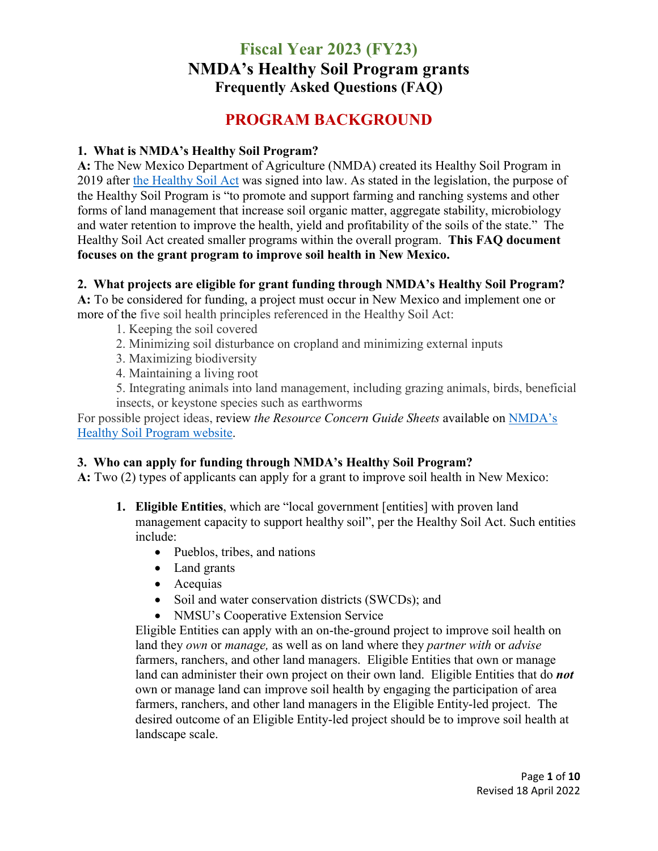### **PROGRAM BACKGROUND**

#### **1. What is NMDA's Healthy Soil Program?**

**A:** The New Mexico Department of Agriculture (NMDA) created its Healthy Soil Program in 2019 after [the Healthy Soil Act](https://www.nmlegis.gov/Sessions/19%20Regular/final/HB0204.pdf) was signed into law. As stated in the legislation, the purpose of the Healthy Soil Program is "to promote and support farming and ranching systems and other forms of land management that increase soil organic matter, aggregate stability, microbiology and water retention to improve the health, yield and profitability of the soils of the state." The Healthy Soil Act created smaller programs within the overall program. **This FAQ document focuses on the grant program to improve soil health in New Mexico.**

#### **2. What projects are eligible for grant funding through NMDA's Healthy Soil Program?**

**A:** To be considered for funding, a project must occur in New Mexico and implement one or more of the five soil health principles referenced in the Healthy Soil Act:

- 1. Keeping the soil covered
- 2. Minimizing soil disturbance on cropland and minimizing external inputs
- 3. Maximizing biodiversity
- 4. Maintaining a living root

5. Integrating animals into land management, including grazing animals, birds, beneficial insects, or keystone species such as earthworms

For possible project ideas, review *the Resource Concern Guide Sheets* available on [NMDA's](https://www.nmda.nmsu.edu/healthy-soil-program/)  [Healthy Soil Program website.](https://www.nmda.nmsu.edu/healthy-soil-program/)

### **3. Who can apply for funding through NMDA's Healthy Soil Program?**

**A:** Two (2) types of applicants can apply for a grant to improve soil health in New Mexico:

- **1. Eligible Entities**, which are "local government [entities] with proven land management capacity to support healthy soil", per the Healthy Soil Act. Such entities include:
	- Pueblos, tribes, and nations
	- Land grants
	- Acequias
	- Soil and water conservation districts (SWCDs); and
	- NMSU's Cooperative Extension Service

Eligible Entities can apply with an on-the-ground project to improve soil health on land they *own* or *manage,* as well as on land where they *partner with* or *advise*  farmers, ranchers, and other land managers.Eligible Entities that own or manage land can administer their own project on their own land. Eligible Entities that do *not* own or manage land can improve soil health by engaging the participation of area farmers, ranchers, and other land managers in the Eligible Entity-led project. The desired outcome of an Eligible Entity-led project should be to improve soil health at landscape scale.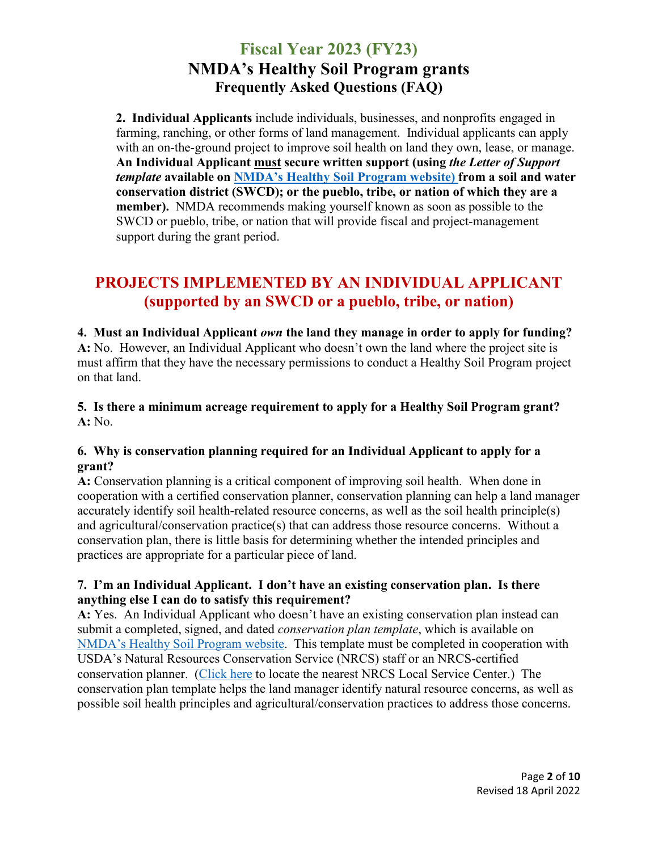**2. Individual Applicants** include individuals, businesses, and nonprofits engaged in farming, ranching, or other forms of land management.Individual applicants can apply with an on-the-ground project to improve soil health on land they own, lease, or manage. **An Individual Applicant must secure written support (using** *the Letter of Support template* **available on [NMDA's Healthy Soil Program website\)](https://www.nmda.nmsu.edu/healthy-soil-program/) from a soil and water conservation district (SWCD); or the pueblo, tribe, or nation of which they are a member).** NMDA recommends making yourself known as soon as possible to the SWCD or pueblo, tribe, or nation that will provide fiscal and project-management support during the grant period.

# **PROJECTS IMPLEMENTED BY AN INDIVIDUAL APPLICANT (supported by an SWCD or a pueblo, tribe, or nation)**

**4. Must an Individual Applicant** *own* **the land they manage in order to apply for funding? A:** No. However, an Individual Applicant who doesn't own the land where the project site is must affirm that they have the necessary permissions to conduct a Healthy Soil Program project on that land.

**5. Is there a minimum acreage requirement to apply for a Healthy Soil Program grant? A:** No.

### **6. Why is conservation planning required for an Individual Applicant to apply for a grant?**

**A:** Conservation planning is a critical component of improving soil health. When done in cooperation with a certified conservation planner, conservation planning can help a land manager accurately identify soil health-related resource concerns, as well as the soil health principle(s) and agricultural/conservation practice(s) that can address those resource concerns. Without a conservation plan, there is little basis for determining whether the intended principles and practices are appropriate for a particular piece of land.

### **7. I'm an Individual Applicant. I don't have an existing conservation plan. Is there anything else I can do to satisfy this requirement?**

**A:** Yes. An Individual Applicant who doesn't have an existing conservation plan instead can submit a completed, signed, and dated *conservation plan template*, which is available on [NMDA's Healthy Soil Program website.](https://www.nmda.nmsu.edu/healthy-soil-program/) This template must be completed in cooperation with USDA's Natural Resources Conservation Service (NRCS) staff or an NRCS-certified conservation planner. [\(Click here](https://www.nrcs.usda.gov/wps/portal/nrcs/main/nm/contact/) to locate the nearest NRCS Local Service Center.) The conservation plan template helps the land manager identify natural resource concerns, as well as possible soil health principles and agricultural/conservation practices to address those concerns.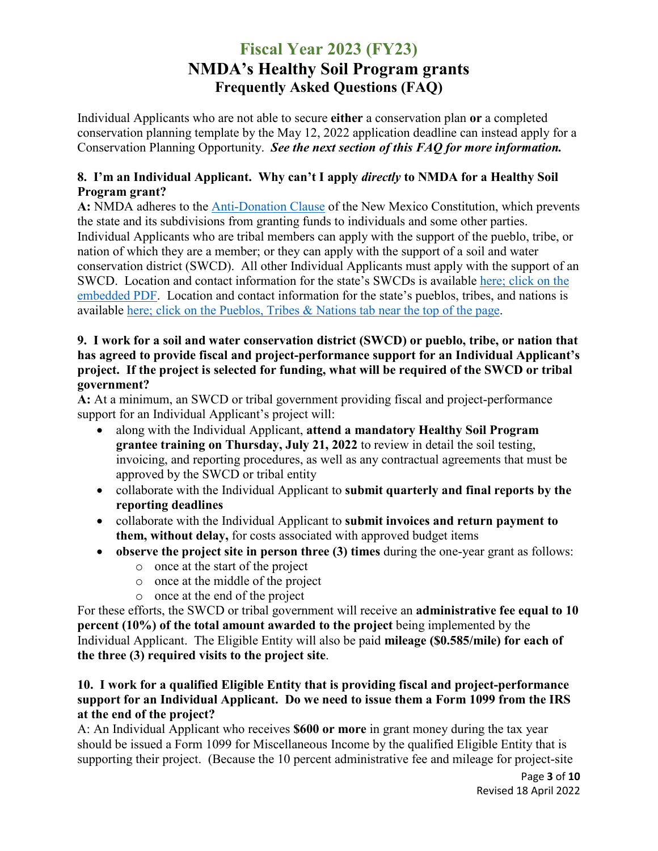Individual Applicants who are not able to secure **either** a conservation plan **or** a completed conservation planning template by the May 12, 2022 application deadline can instead apply for a Conservation Planning Opportunity. *See the next section of this FAQ for more information.*

### **8. I'm an Individual Applicant. Why can't I apply** *directly* **to NMDA for a Healthy Soil Program grant?**

**A:** NMDA adheres to the [Anti-Donation Clause](https://nmonesource.com/nmos/c/en/item/5916/index.do#!b/aIXs14) of the New Mexico Constitution, which prevents the state and its subdivisions from granting funds to individuals and some other parties. Individual Applicants who are tribal members can apply with the support of the pueblo, tribe, or nation of which they are a member; or they can apply with the support of a soil and water conservation district (SWCD). All other Individual Applicants must apply with the support of an SWCD. Location and contact information for the state's SWCDs is available [here; click on the](https://www.nmacd.org/directories)  [embedded PDF.](https://www.nmacd.org/directories) Location and contact information for the state's pueblos, tribes, and nations is available [here; click on the Pueblos, Tribes & Nations tab near the top of the page.](https://www.iad.state.nm.us/)

### **9. I work for a soil and water conservation district (SWCD) or pueblo, tribe, or nation that has agreed to provide fiscal and project-performance support for an Individual Applicant's project. If the project is selected for funding, what will be required of the SWCD or tribal government?**

**A:** At a minimum, an SWCD or tribal government providing fiscal and project-performance support for an Individual Applicant's project will:

- along with the Individual Applicant, **attend a mandatory Healthy Soil Program grantee training on Thursday, July 21, 2022** to review in detail the soil testing, invoicing, and reporting procedures, as well as any contractual agreements that must be approved by the SWCD or tribal entity
- collaborate with the Individual Applicant to **submit quarterly and final reports by the reporting deadlines**
- collaborate with the Individual Applicant to **submit invoices and return payment to them, without delay,** for costs associated with approved budget items
- **observe the project site in person three (3) times** during the one-year grant as follows:
	- o once at the start of the project
	- o once at the middle of the project
	- o once at the end of the project

For these efforts, the SWCD or tribal government will receive an **administrative fee equal to 10 percent (10%) of the total amount awarded to the project** being implemented by the Individual Applicant. The Eligible Entity will also be paid **mileage (\$0.585/mile) for each of the three (3) required visits to the project site**.

### **10. I work for a qualified Eligible Entity that is providing fiscal and project-performance support for an Individual Applicant. Do we need to issue them a Form 1099 from the IRS at the end of the project?**

A: An Individual Applicant who receives **\$600 or more** in grant money during the tax year should be issued a Form 1099 for Miscellaneous Income by the qualified Eligible Entity that is supporting their project. (Because the 10 percent administrative fee and mileage for project-site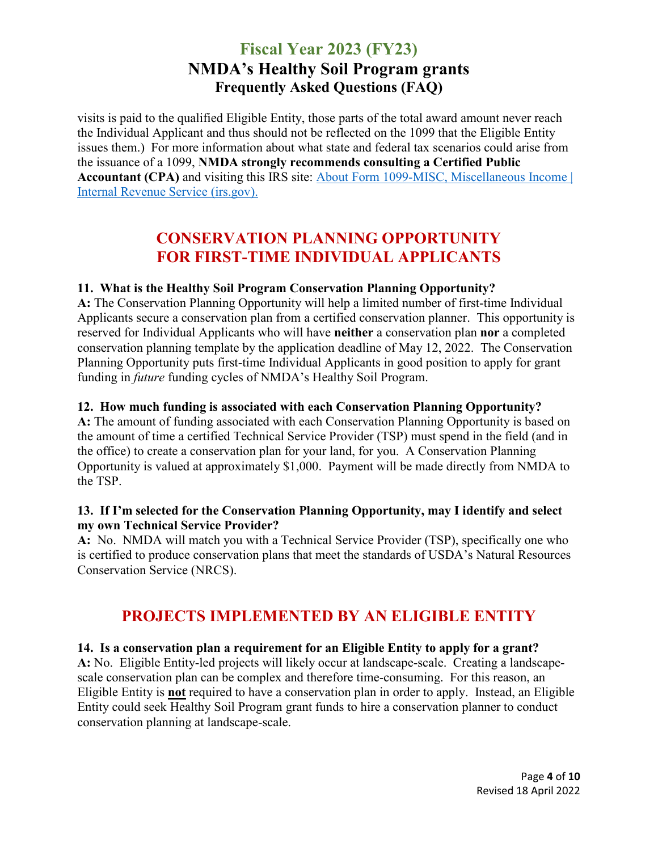visits is paid to the qualified Eligible Entity, those parts of the total award amount never reach the Individual Applicant and thus should not be reflected on the 1099 that the Eligible Entity issues them.) For more information about what state and federal tax scenarios could arise from the issuance of a 1099, **NMDA strongly recommends consulting a Certified Public Accountant (CPA)** and visiting this IRS site: [About Form 1099-MISC, Miscellaneous Income |](https://www.irs.gov/forms-pubs/about-form-1099-misc)  [Internal Revenue Service \(irs.gov\).](https://www.irs.gov/forms-pubs/about-form-1099-misc)

## **CONSERVATION PLANNING OPPORTUNITY FOR FIRST-TIME INDIVIDUAL APPLICANTS**

### **11. What is the Healthy Soil Program Conservation Planning Opportunity?**

**A:** The Conservation Planning Opportunity will help a limited number of first-time Individual Applicants secure a conservation plan from a certified conservation planner. This opportunity is reserved for Individual Applicants who will have **neither** a conservation plan **nor** a completed conservation planning template by the application deadline of May 12, 2022. The Conservation Planning Opportunity puts first-time Individual Applicants in good position to apply for grant funding in *future* funding cycles of NMDA's Healthy Soil Program.

### **12. How much funding is associated with each Conservation Planning Opportunity?**

**A:** The amount of funding associated with each Conservation Planning Opportunity is based on the amount of time a certified Technical Service Provider (TSP) must spend in the field (and in the office) to create a conservation plan for your land, for you. A Conservation Planning Opportunity is valued at approximately \$1,000. Payment will be made directly from NMDA to the TSP.

#### **13. If I'm selected for the Conservation Planning Opportunity, may I identify and select my own Technical Service Provider?**

**A:** No. NMDA will match you with a Technical Service Provider (TSP), specifically one who is certified to produce conservation plans that meet the standards of USDA's Natural Resources Conservation Service (NRCS).

## **PROJECTS IMPLEMENTED BY AN ELIGIBLE ENTITY**

### **14. Is a conservation plan a requirement for an Eligible Entity to apply for a grant?**

**A:** No. Eligible Entity-led projects will likely occur at landscape-scale. Creating a landscapescale conservation plan can be complex and therefore time-consuming. For this reason, an Eligible Entity is **not** required to have a conservation plan in order to apply. Instead, an Eligible Entity could seek Healthy Soil Program grant funds to hire a conservation planner to conduct conservation planning at landscape-scale.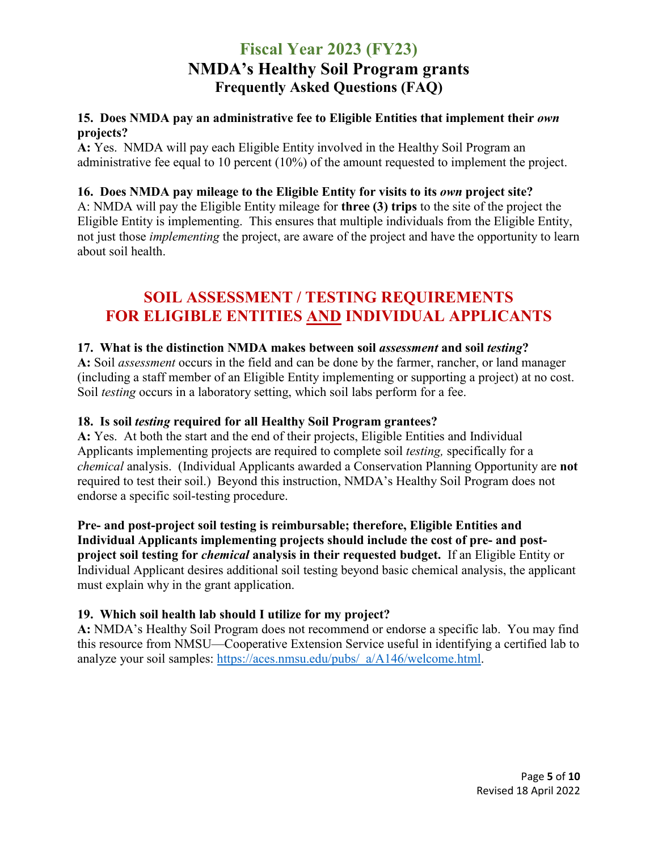### **15. Does NMDA pay an administrative fee to Eligible Entities that implement their** *own* **projects?**

**A:** Yes. NMDA will pay each Eligible Entity involved in the Healthy Soil Program an administrative fee equal to 10 percent (10%) of the amount requested to implement the project.

### **16. Does NMDA pay mileage to the Eligible Entity for visits to its** *own* **project site?**

A: NMDA will pay the Eligible Entity mileage for **three (3) trips** to the site of the project the Eligible Entity is implementing. This ensures that multiple individuals from the Eligible Entity, not just those *implementing* the project, are aware of the project and have the opportunity to learn about soil health.

### **SOIL ASSESSMENT / TESTING REQUIREMENTS FOR ELIGIBLE ENTITIES AND INDIVIDUAL APPLICANTS**

### **17. What is the distinction NMDA makes between soil** *assessment* **and soil** *testing***?**

**A:** Soil *assessment* occurs in the field and can be done by the farmer, rancher, or land manager (including a staff member of an Eligible Entity implementing or supporting a project) at no cost. Soil *testing* occurs in a laboratory setting, which soil labs perform for a fee.

### **18. Is soil** *testing* **required for all Healthy Soil Program grantees?**

**A:** Yes. At both the start and the end of their projects, Eligible Entities and Individual Applicants implementing projects are required to complete soil *testing,* specifically for a *chemical* analysis. (Individual Applicants awarded a Conservation Planning Opportunity are **not** required to test their soil.) Beyond this instruction, NMDA's Healthy Soil Program does not endorse a specific soil-testing procedure.

**Pre- and post-project soil testing is reimbursable; therefore, Eligible Entities and Individual Applicants implementing projects should include the cost of pre- and postproject soil testing for** *chemical* **analysis in their requested budget.** If an Eligible Entity or Individual Applicant desires additional soil testing beyond basic chemical analysis, the applicant must explain why in the grant application.

### **19. Which soil health lab should I utilize for my project?**

**A:** NMDA's Healthy Soil Program does not recommend or endorse a specific lab. You may find this resource from NMSU—Cooperative Extension Service useful in identifying a certified lab to analyze your soil samples: [https://aces.nmsu.edu/pubs/\\_a/A146/welcome.html.](https://aces.nmsu.edu/pubs/_a/A146/welcome.html)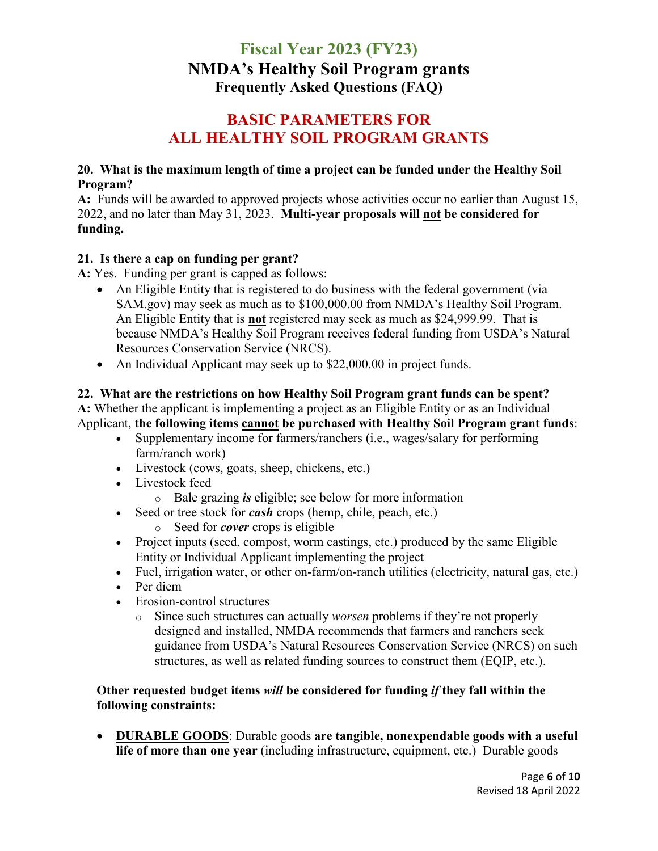### **BASIC PARAMETERS FOR ALL HEALTHY SOIL PROGRAM GRANTS**

### **20. What is the maximum length of time a project can be funded under the Healthy Soil Program?**

**A:** Funds will be awarded to approved projects whose activities occur no earlier than August 15, 2022, and no later than May 31, 2023. **Multi-year proposals will not be considered for funding.** 

### **21. Is there a cap on funding per grant?**

**A:** Yes. Funding per grant is capped as follows:

- An Eligible Entity that is registered to do business with the federal government (via SAM.gov) may seek as much as to \$100,000.00 from NMDA's Healthy Soil Program. An Eligible Entity that is **not** registered may seek as much as \$24,999.99. That is because NMDA's Healthy Soil Program receives federal funding from USDA's Natural Resources Conservation Service (NRCS).
- An Individual Applicant may seek up to \$22,000.00 in project funds.

### **22. What are the restrictions on how Healthy Soil Program grant funds can be spent? A:** Whether the applicant is implementing a project as an Eligible Entity or as an Individual Applicant, **the following items cannot be purchased with Healthy Soil Program grant funds**:

- Supplementary income for farmers/ranchers (i.e., wages/salary for performing farm/ranch work)
- Livestock (cows, goats, sheep, chickens, etc.)
- Livestock feed
	- o Bale grazing *is* eligible; see below for more information
- Seed or tree stock for *cash* crops (hemp, chile, peach, etc.)
	- o Seed for *cover* crops is eligible
- Project inputs (seed, compost, worm castings, etc.) produced by the same Eligible Entity or Individual Applicant implementing the project
- Fuel, irrigation water, or other on-farm/on-ranch utilities (electricity, natural gas, etc.)
- Per diem
- Erosion-control structures
	- o Since such structures can actually *worsen* problems if they're not properly designed and installed, NMDA recommends that farmers and ranchers seek guidance from USDA's Natural Resources Conservation Service (NRCS) on such structures, as well as related funding sources to construct them (EQIP, etc.).

### **Other requested budget items** *will* **be considered for funding** *if* **they fall within the following constraints:**

• **DURABLE GOODS**: Durable goods **are tangible, nonexpendable goods with a useful life of more than one year** (including infrastructure, equipment, etc.) Durable goods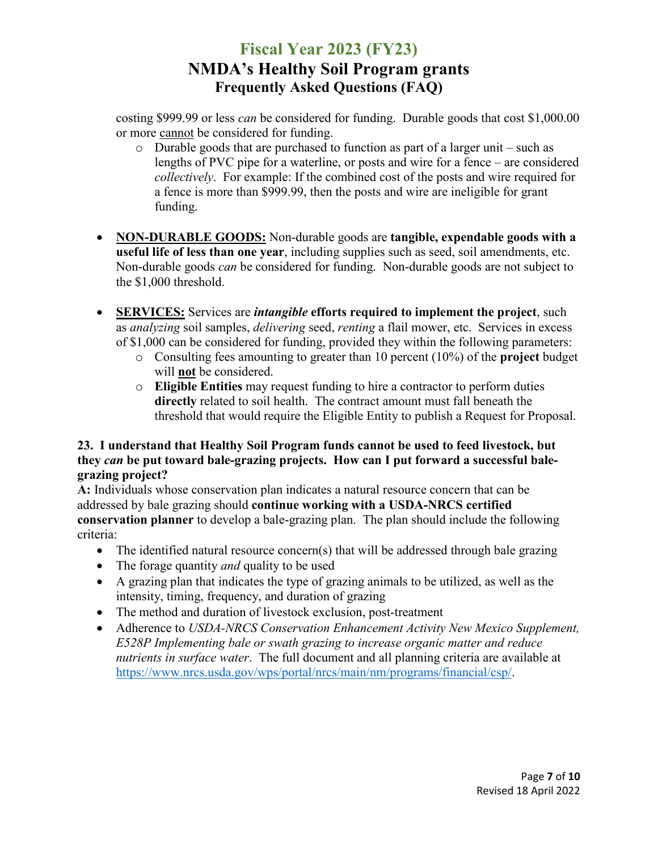costing \$999.99 or less *can* be considered for funding. Durable goods that cost \$1,000.00 or more cannot be considered for funding.

- o Durable goods that are purchased to function as part of a larger unit such as lengths of PVC pipe for a waterline, or posts and wire for a fence – are considered *collectively*. For example: If the combined cost of the posts and wire required for a fence is more than \$999.99, then the posts and wire are ineligible for grant funding.
- **NON-DURABLE GOODS:** Non-durable goods are **tangible, expendable goods with a useful life of less than one year**, including supplies such as seed, soil amendments, etc. Non-durable goods *can* be considered for funding. Non-durable goods are not subject to the \$1,000 threshold.
- **SERVICES:** Services are *intangible* **efforts required to implement the project**, such as *analyzing* soil samples, *delivering* seed, *renting* a flail mower, etc. Services in excess of \$1,000 can be considered for funding, provided they within the following parameters:
	- o Consulting fees amounting to greater than 10 percent (10%) of the **project** budget will **not** be considered.
	- o **Eligible Entities** may request funding to hire a contractor to perform duties **directly** related to soil health. The contract amount must fall beneath the threshold that would require the Eligible Entity to publish a Request for Proposal.

### **23. I understand that Healthy Soil Program funds cannot be used to feed livestock, but they** *can* **be put toward bale-grazing projects. How can I put forward a successful balegrazing project?**

**A:** Individuals whose conservation plan indicates a natural resource concern that can be addressed by bale grazing should **continue working with a USDA-NRCS certified conservation planner** to develop a bale-grazing plan. The plan should include the following criteria:

- The identified natural resource concern(s) that will be addressed through bale grazing
- The forage quantity *and* quality to be used
- A grazing plan that indicates the type of grazing animals to be utilized, as well as the intensity, timing, frequency, and duration of grazing
- The method and duration of livestock exclusion, post-treatment
- Adherence to *USDA-NRCS Conservation Enhancement Activity New Mexico Supplement, E528P Implementing bale or swath grazing to increase organic matter and reduce nutrients in surface water*. The full document and all planning criteria are available at [https://www.nrcs.usda.gov/wps/portal/nrcs/main/nm/programs/financial/csp/.](https://www.nrcs.usda.gov/wps/portal/nrcs/main/nm/programs/financial/csp/)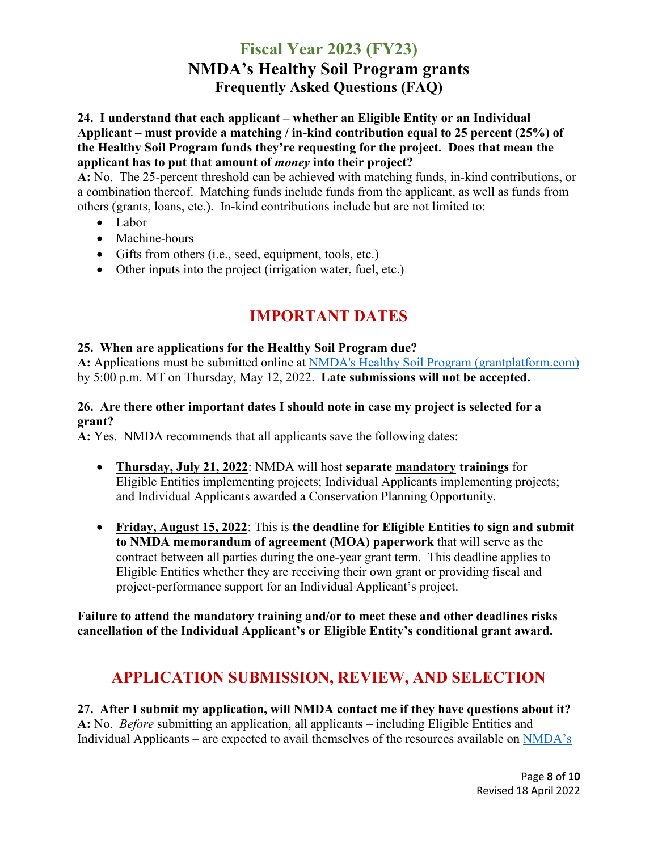### **24. I understand that each applicant – whether an Eligible Entity or an Individual Applicant – must provide a matching / in-kind contribution equal to 25 percent (25%) of the Healthy Soil Program funds they're requesting for the project. Does that mean the applicant has to put that amount of** *money* **into their project?**

**A:** No. The 25-percent threshold can be achieved with matching funds, in-kind contributions, or a combination thereof. Matching funds include funds from the applicant, as well as funds from others (grants, loans, etc.). In-kind contributions include but are not limited to:

- Labor
- Machine-hours
- Gifts from others (i.e., seed, equipment, tools, etc.)
- Other inputs into the project (irrigation water, fuel, etc.)

# **IMPORTANT DATES**

### **25. When are applications for the Healthy Soil Program due?**

**A:** Applications must be submitted online at [NMDA's Healthy Soil Program \(grantplatform.com\)](https://nmdahealthysoilprogram.grantplatform.com/) by 5:00 p.m. MT on Thursday, May 12, 2022. **Late submissions will not be accepted.**

### **26. Are there other important dates I should note in case my project is selected for a grant?**

**A:** Yes. NMDA recommends that all applicants save the following dates:

- **Thursday, July 21, 2022**: NMDA will host **separate mandatory trainings** for Eligible Entities implementing projects; Individual Applicants implementing projects; and Individual Applicants awarded a Conservation Planning Opportunity.
- **Friday, August 15, 2022**: This is **the deadline for Eligible Entities to sign and submit to NMDA memorandum of agreement (MOA) paperwork** that will serve as the contract between all parties during the one-year grant term. This deadline applies to Eligible Entities whether they are receiving their own grant or providing fiscal and project-performance support for an Individual Applicant's project.

**Failure to attend the mandatory training and/or to meet these and other deadlines risks cancellation of the Individual Applicant's or Eligible Entity's conditional grant award.** 

## **APPLICATION SUBMISSION, REVIEW, AND SELECTION**

**27. After I submit my application, will NMDA contact me if they have questions about it? A:** No. *Before* submitting an application, all applicants – including Eligible Entities and Individual Applicants – are expected to avail themselves of the resources available on NMDA's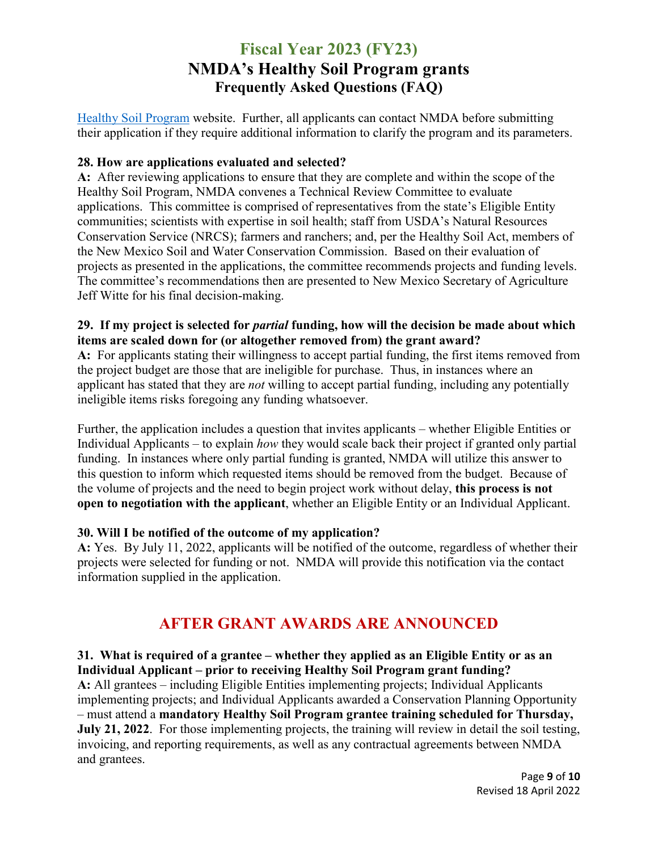[Healthy Soil Program](http://www.nmda.nmsu.edu/healthy-soil-program/) website. Further, all applicants can contact NMDA before submitting their application if they require additional information to clarify the program and its parameters.

### **28. How are applications evaluated and selected?**

**A:** After reviewing applications to ensure that they are complete and within the scope of the Healthy Soil Program, NMDA convenes a Technical Review Committee to evaluate applications. This committee is comprised of representatives from the state's Eligible Entity communities; scientists with expertise in soil health; staff from USDA's Natural Resources Conservation Service (NRCS); farmers and ranchers; and, per the Healthy Soil Act, members of the New Mexico Soil and Water Conservation Commission. Based on their evaluation of projects as presented in the applications, the committee recommends projects and funding levels. The committee's recommendations then are presented to New Mexico Secretary of Agriculture Jeff Witte for his final decision-making.

### **29. If my project is selected for** *partial* **funding, how will the decision be made about which items are scaled down for (or altogether removed from) the grant award?**

**A:** For applicants stating their willingness to accept partial funding, the first items removed from the project budget are those that are ineligible for purchase. Thus, in instances where an applicant has stated that they are *not* willing to accept partial funding, including any potentially ineligible items risks foregoing any funding whatsoever.

Further, the application includes a question that invites applicants – whether Eligible Entities or Individual Applicants – to explain *how* they would scale back their project if granted only partial funding. In instances where only partial funding is granted, NMDA will utilize this answer to this question to inform which requested items should be removed from the budget. Because of the volume of projects and the need to begin project work without delay, **this process is not open to negotiation with the applicant**, whether an Eligible Entity or an Individual Applicant.

### **30. Will I be notified of the outcome of my application?**

**A:** Yes. By July 11, 2022, applicants will be notified of the outcome, regardless of whether their projects were selected for funding or not. NMDA will provide this notification via the contact information supplied in the application.

## **AFTER GRANT AWARDS ARE ANNOUNCED**

**31. What is required of a grantee – whether they applied as an Eligible Entity or as an Individual Applicant – prior to receiving Healthy Soil Program grant funding? A:** All grantees – including Eligible Entities implementing projects; Individual Applicants implementing projects; and Individual Applicants awarded a Conservation Planning Opportunity – must attend a **mandatory Healthy Soil Program grantee training scheduled for Thursday, July 21, 2022**. For those implementing projects, the training will review in detail the soil testing, invoicing, and reporting requirements, as well as any contractual agreements between NMDA and grantees.